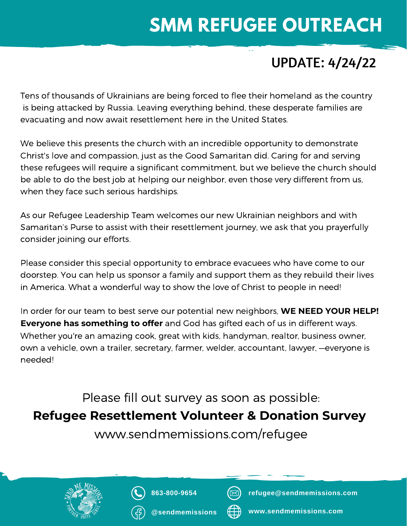## **SMM REFUGEE OUTREACH**

#### UPDATE: 4/24/22

Tens of thousands of Ukrainians are being forced to flee their homeland as the country is being attacked by Russia. Leaving everything behind, these desperate families are evacuating and now await resettlement here in the United States.

We believe this presents the church with an incredible opportunity to demonstrate Christ's love and compassion, just as the Good Samaritan did. Caring for and serving these refugees will require a significant commitment, but we believe the church should be able to do the best job at helping our neighbor, even those very different from us, when they face such serious hardships.

As our Refugee Leadership Team welcomes our new Ukrainian neighbors and with Samaritan's Purse to assist with their resettlement journey, we ask that you prayerfully consider joining our efforts.

Please consider this special opportunity to embrace evacuees who have come to our doorstep. You can help us sponsor a family and support them as they rebuild their lives in America. What a wonderful way to show the love of Christ to people in need!

In order for our team to best serve our potential new neighbors, **WE NEED YOUR HELP! Everyone has something to offer** and God has gifted each of us in different ways. Whether you're an amazing cook, great with kids, handyman, realtor, business owner, own a vehicle, own a trailer, secretary, farmer, welder, accountant, lawyer, —everyone is needed!

Please fill out survey as soon as possible: **Refugee Resettlement Volunteer & Donation Survey**

www.sendmemissions.com/refugee





**@sendmemissions**



**refugee@sendmemissions.com**



**www.sendmemissions.com**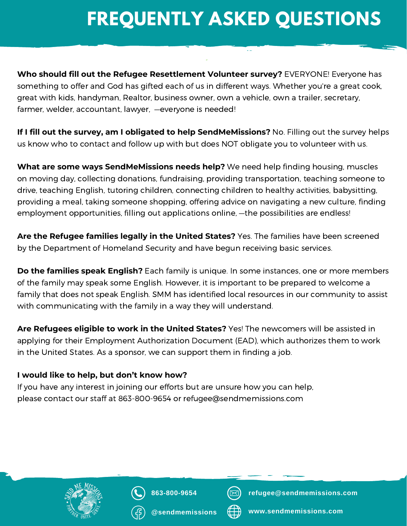# **FREQUENTLY ASKED QUESTIONS**

 $\sim$ 

**Who should fill out the Refugee Resettlement Volunteer survey?** EVERYONE! Everyone has something to offer and God has gifted each of us in different ways. Whether you're a great cook, great with kids, handyman, Realtor, business owner, own a vehicle, own a trailer, secretary, farmer, welder, accountant, lawyer, —everyone is needed!

**If I fill out the survey, am I obligated to help SendMeMissions?** No. Filling out the survey helps us know who to contact and follow up with but does NOT obligate you to volunteer with us.

**What are some ways SendMeMissions needs help?** We need help finding housing, muscles on moving day, collecting donations, fundraising, providing transportation, teaching someone to drive, teaching English, tutoring children, connecting children to healthy activities, babysitting, providing a meal, taking someone shopping, offering advice on navigating a new culture, finding employment opportunities, filling out applications online, —the possibilities are endless!

**Are the Refugee families legally in the United States?** Yes. The families have been screened by the Department of Homeland Security and have begun receiving basic services.

**Do the families speak English?** Each family is unique. In some instances, one or more members of the family may speak some English. However, it is important to be prepared to welcome a family that does not speak English. SMM has identified local resources in our community to assist with communicating with the family in a way they will understand.

**Are Refugees eligible to work in the United States?** Yes! The newcomers will be assisted in applying for their Employment Authorization Document (EAD), which authorizes them to work in the United States. As a sponsor, we can support them in finding a job.

#### **I would like to help, but don't know how?**

If you have any interest in joining our efforts but are unsure how you can help, please contact our staff at 863-800-9654 or refugee@sendmemissions.com





**@sendmemissions**



**refugee@sendmemissions.com**



**www.sendmemissions.com**